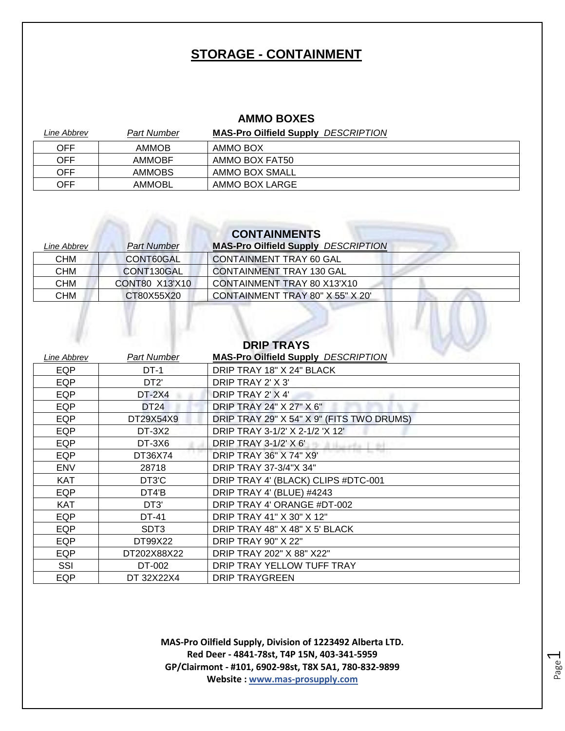### **STORAGE - CONTAINMENT**

#### **AMMO BOXES**

| Line Abbrev | Part Number   | <b>MAS-Pro Oilfield Supply DESCRIPTION</b> |
|-------------|---------------|--------------------------------------------|
| OFF         | <b>AMMOB</b>  | AMMO BOX                                   |
| OFF         | <b>AMMOBF</b> | AMMO BOX FAT50                             |
| OFF         | <b>AMMOBS</b> | AMMO BOX SMALL                             |
| OFF         | AMMOBL        | AMMO BOX LARGE                             |

## **CONTAINMENTS**

| Line Abbrev | <b>Part Number</b> | <b>MAS-Pro Oilfield Supply DESCRIPTION</b> |
|-------------|--------------------|--------------------------------------------|
| <b>CHM</b>  | CONT60GAL          | <b>CONTAINMENT TRAY 60 GAL</b>             |
| <b>CHM</b>  | CONT130GAL         | <b>CONTAINMENT TRAY 130 GAL</b>            |
| <b>CHM</b>  | CONT80 X13'X10     | CONTAINMENT TRAY 80 X13'X10                |
| <b>CHM</b>  | CT80X55X20         | CONTAINMENT TRAY 80" X 55" X 20'           |
|             |                    |                                            |
|             |                    |                                            |
|             |                    |                                            |

|                    |                    | <b>DRIP TRAYS</b>                          |
|--------------------|--------------------|--------------------------------------------|
| <b>Line Abbrev</b> | <b>Part Number</b> | <b>MAS-Pro Oilfield Supply DESCRIPTION</b> |
| <b>EQP</b>         | $DT-1$             | DRIP TRAY 18" X 24" BLACK                  |
| EQP                | DT <sub>2</sub>    | DRIP TRAY 2' X 3'                          |
| EQP                | <b>DT-2X4</b>      | DRIP TRAY 2' X 4'                          |
| <b>EQP</b>         | <b>DT24</b>        | DRIP TRAY 24" X 27" X 6"                   |
| EQP                | DT29X54X9          | DRIP TRAY 29" X 54" X 9" (FITS TWO DRUMS)  |
| <b>EQP</b>         | DT-3X2             | DRIP TRAY 3-1/2' X 2-1/2 'X 12'            |
| EQP                | DT-3X6             | <b>DRIP TRAY 3-1/2' X 6'</b>               |
| EQP                | DT36X74            | <b>DRIP TRAY 36" X 74" X9"</b>             |
| <b>ENV</b>         | 28718              | DRIP TRAY 37-3/4"X 34"                     |
| <b>KAT</b>         | DT3'C              | DRIP TRAY 4' (BLACK) CLIPS #DTC-001        |
| EQP                | DT4'B              | DRIP TRAY 4' (BLUE) #4243                  |
| <b>KAT</b>         | DT <sub>3</sub>    | DRIP TRAY 4' ORANGE #DT-002                |
| EQP                | DT-41              | DRIP TRAY 41" X 30" X 12"                  |
| <b>EQP</b>         | SDT3               | DRIP TRAY 48" X 48" X 5' BLACK             |
| EQP                | DT99X22            | <b>DRIP TRAY 90" X 22"</b>                 |
| EQP                | DT202X88X22        | DRIP TRAY 202" X 88" X22"                  |
| SSI                | DT-002             | DRIP TRAY YELLOW TUFF TRAY                 |
| EQP                | DT 32X22X4         | <b>DRIP TRAYGREEN</b>                      |

**MAS-Pro Oilfield Supply, Division of 1223492 Alberta LTD. Red Deer - 4841-78st, T4P 15N, 403-341-5959 GP/Clairmont - #101, 6902-98st, T8X 5A1, 780-832-9899 Website : www.mas-prosupply.com**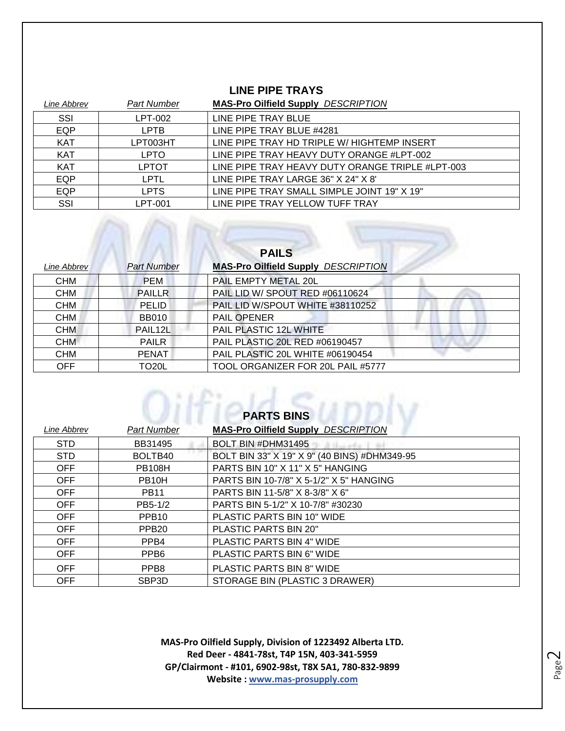#### **LINE PIPE TRAYS**

| Line Abbrev | <b>Part Number</b> | <b>MAS-Pro Oilfield Supply DESCRIPTION</b>       |
|-------------|--------------------|--------------------------------------------------|
| SSI         | LPT-002            | LINE PIPE TRAY BLUE                              |
| EQP         | <b>LPTB</b>        | LINE PIPE TRAY BLUE #4281                        |
| <b>KAT</b>  | LPT003HT           | LINE PIPE TRAY HD TRIPLE W/ HIGHTEMP INSERT      |
| <b>KAT</b>  | <b>LPTO</b>        | LINE PIPE TRAY HEAVY DUTY ORANGE #LPT-002        |
| <b>KAT</b>  | <b>LPTOT</b>       | LINE PIPE TRAY HEAVY DUTY ORANGE TRIPLE #LPT-003 |
| EQP         | LPTL               | LINE PIPE TRAY LARGE 36" X 24" X 8"              |
| EQP         | <b>LPTS</b>        | LINE PIPE TRAY SMALL SIMPLE JOINT 19" X 19"      |
| SSI         | LPT-001            | LINE PIPE TRAY YELLOW TUFF TRAY                  |

|             |                      | <b>PAILS</b>                               |
|-------------|----------------------|--------------------------------------------|
| Line Abbrev | <b>Part Number</b>   | <b>MAS-Pro Oilfield Supply DESCRIPTION</b> |
| <b>CHM</b>  | <b>PEM</b>           | PAIL EMPTY METAL 20L                       |
| <b>CHM</b>  | <b>PAILLR</b>        | PAIL LID W/ SPOUT RED #06110624            |
| <b>CHM</b>  | <b>PELID</b>         | PAIL LID W/SPOUT WHITE #38110252           |
| <b>CHM</b>  | <b>BB010</b>         | <b>PAIL OPENER</b>                         |
| <b>CHM</b>  | PAIL <sub>12</sub> L | PAIL PLASTIC 12L WHITE                     |
| <b>CHM</b>  | <b>PAILR</b>         | PAIL PLASTIC 20L RED #06190457             |
| <b>CHM</b>  | <b>PENAT</b>         | PAIL PLASTIC 20L WHITE #06190454           |
| <b>OFF</b>  | TO20L                | TOOL ORGANIZER FOR 20L PAIL #5777          |

| <b>PARTS BINS</b> |                    |                                              |
|-------------------|--------------------|----------------------------------------------|
| Line Abbrev       | <b>Part Number</b> | <b>MAS-Pro Oilfield Supply DESCRIPTION</b>   |
| <b>STD</b>        | BB31495            | BOLT BIN #DHM31495                           |
| <b>STD</b>        | BOLTB40            | BOLT BIN 33" X 19" X 9" (40 BINS) #DHM349-95 |
| <b>OFF</b>        | <b>PB108H</b>      | PARTS BIN 10" X 11" X 5" HANGING             |
| <b>OFF</b>        | PB <sub>10</sub> H | PARTS BIN 10-7/8" X 5-1/2" X 5" HANGING      |
| <b>OFF</b>        | <b>PB11</b>        | PARTS BIN 11-5/8" X 8-3/8" X 6"              |
| <b>OFF</b>        | PB5-1/2            | PARTS BIN 5-1/2" X 10-7/8" #30230            |
| <b>OFF</b>        | PPB <sub>10</sub>  | PLASTIC PARTS BIN 10" WIDE                   |
| <b>OFF</b>        | PPB <sub>20</sub>  | <b>PLASTIC PARTS BIN 20"</b>                 |
| <b>OFF</b>        | PPB <sub>4</sub>   | PLASTIC PARTS BIN 4" WIDE                    |
| <b>OFF</b>        | PPB <sub>6</sub>   | PLASTIC PARTS BIN 6" WIDE                    |
| <b>OFF</b>        | PPB <sub>8</sub>   | PLASTIC PARTS BIN 8" WIDE                    |
| <b>OFF</b>        | SBP <sub>3</sub> D | STORAGE BIN (PLASTIC 3 DRAWER)               |

**MAS-Pro Oilfield Supply, Division of 1223492 Alberta LTD. Red Deer - 4841-78st, T4P 15N, 403-341-5959 GP/Clairmont - #101, 6902-98st, T8X 5A1, 780-832-9899 Website : www.mas-prosupply.com**

Page  $\mathrel{\sim}$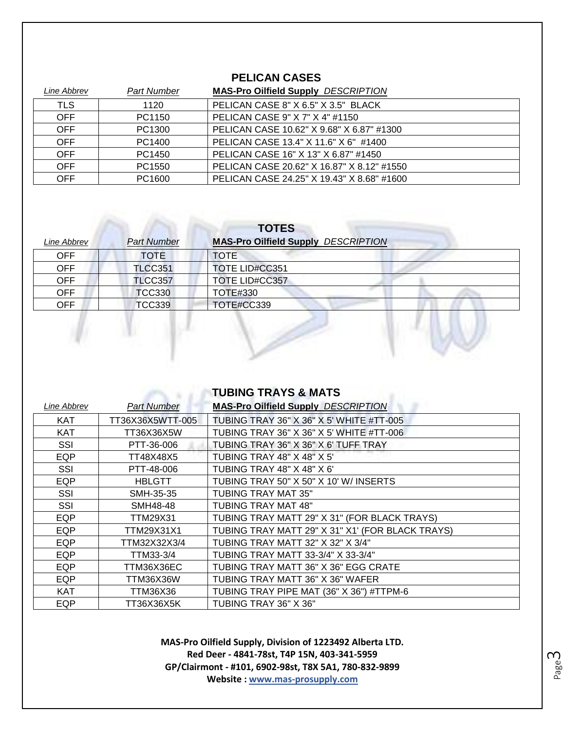#### **PELICAN CASES**

| Line Abbrev | <b>Part Number</b> | <b>MAS-Pro Oilfield Supply DESCRIPTION</b> |
|-------------|--------------------|--------------------------------------------|
| <b>TLS</b>  | 1120               | PELICAN CASE 8" X 6.5" X 3.5" BLACK        |
| <b>OFF</b>  | PC1150             | PELICAN CASE 9" X 7" X 4" #1150            |
| <b>OFF</b>  | PC1300             | PELICAN CASE 10.62" X 9.68" X 6.87" #1300  |
| <b>OFF</b>  | PC1400             | PELICAN CASE 13.4" X 11.6" X 6" #1400      |
| <b>OFF</b>  | PC1450             | PELICAN CASE 16" X 13" X 6.87" #1450       |
| <b>OFF</b>  | PC1550             | PELICAN CASE 20.62" X 16.87" X 8.12" #1550 |
| <b>OFF</b>  | PC1600             | PELICAN CASE 24.25" X 19.43" X 8.68" #1600 |

| Line Abbrev | <b>Part Number</b> | <b>MAS-Pro Oilfield Supply DESCRIPTION</b> |
|-------------|--------------------|--------------------------------------------|
| <b>OFF</b>  | <b>TOTE</b>        | TOTE                                       |
| <b>OFF</b>  | <b>TLCC351</b>     | <b>TOTE LID#CC351</b>                      |
| <b>OFF</b>  | <b>TLCC357</b>     | <b>TOTE LID#CC357</b>                      |
| <b>OFF</b>  | <b>TCC330</b>      | TOTE#330                                   |
| <b>OFF</b>  | <b>TCC339</b>      | TOTE#CC339                                 |
|             |                    |                                            |

| <b>TUBING TRAYS &amp; MATS</b> |  |
|--------------------------------|--|
|--------------------------------|--|

**MAS-Pro Oilfield Supply, Division of 1223492 Alberta LTD. Red Deer - 4841-78st, T4P 15N, 403-341-5959 GP/Clairmont - #101, 6902-98st, T8X 5A1, 780-832-9899 Website : www.mas-prosupply.com**